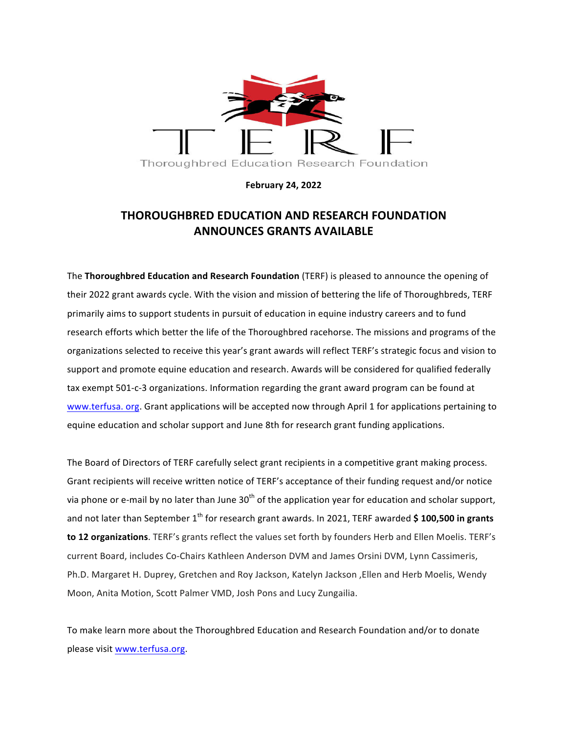

**February 24, 2022**

## **THOROUGHBRED EDUCATION AND RESEARCH FOUNDATION ANNOUNCES GRANTS AVAILABLE**

The **Thoroughbred Education and Research Foundation** (TERF) is pleased to announce the opening of their 2022 grant awards cycle. With the vision and mission of bettering the life of Thoroughbreds, TERF primarily aims to support students in pursuit of education in equine industry careers and to fund research efforts which better the life of the Thoroughbred racehorse. The missions and programs of the organizations selected to receive this year's grant awards will reflect TERF's strategic focus and vision to support and promote equine education and research. Awards will be considered for qualified federally tax exempt 501-c-3 organizations. Information regarding the grant award program can be found at www.terfusa. org. Grant applications will be accepted now through April 1 for applications pertaining to equine education and scholar support and June 8th for research grant funding applications.

The Board of Directors of TERF carefully select grant recipients in a competitive grant making process. Grant recipients will receive written notice of TERF's acceptance of their funding request and/or notice via phone or e-mail by no later than June  $30<sup>th</sup>$  of the application year for education and scholar support, and not later than September 1<sup>th</sup> for research grant awards. In 2021, TERF awarded \$ 100,500 in grants **to 12 organizations**. TERF's grants reflect the values set forth by founders Herb and Ellen Moelis. TERF's current Board, includes Co-Chairs Kathleen Anderson DVM and James Orsini DVM, Lynn Cassimeris, Ph.D. Margaret H. Duprey, Gretchen and Roy Jackson, Katelyn Jackson, Ellen and Herb Moelis, Wendy Moon, Anita Motion, Scott Palmer VMD, Josh Pons and Lucy Zungailia.

To make learn more about the Thoroughbred Education and Research Foundation and/or to donate please visit www.terfusa.org.